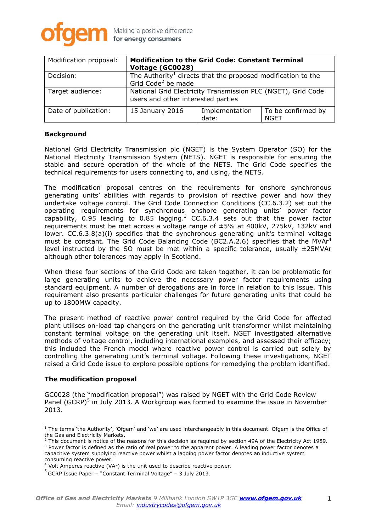

| Modification proposal: | <b>Modification to the Grid Code: Constant Terminal</b><br>Voltage (GC0028)                                |                         |                            |
|------------------------|------------------------------------------------------------------------------------------------------------|-------------------------|----------------------------|
| Decision:              | The Authority <sup>1</sup> directs that the proposed modification to the<br>Grid Code <sup>2</sup> be made |                         |                            |
| Target audience:       | National Grid Electricity Transmission PLC (NGET), Grid Code<br>users and other interested parties         |                         |                            |
| Date of publication:   | 15 January 2016                                                                                            | Implementation<br>date: | To be confirmed by<br>NGET |

## **Background**

National Grid Electricity Transmission plc (NGET) is the System Operator (SO) for the National Electricity Transmission System (NETS). NGET is responsible for ensuring the stable and secure operation of the whole of the NETS. The Grid Code specifies the technical requirements for users connecting to, and using, the NETS.

The modification proposal centres on the requirements for onshore synchronous generating units' abilities with regards to provision of reactive power and how they undertake voltage control. The Grid Code Connection Conditions (CC.6.3.2) set out the operating requirements for synchronous onshore generating units' power factor capability, 0.95 leading to 0.85 lagging.<sup>3</sup> CC.6.3.4 sets out that the power factor requirements must be met across a voltage range of ±5% at 400kV, 275kV, 132kV and lower. CC.6.3.8(a)(i) specifies that the synchronous generating unit's terminal voltage must be constant. The Grid Code Balancing Code (BC2.A.2.6) specifies that the MVAr<sup>4</sup> level instructed by the SO must be met within a specific tolerance, usually ±25MVAr although other tolerances may apply in Scotland.

When these four sections of the Grid Code are taken together, it can be problematic for large generating units to achieve the necessary power factor requirements using standard equipment. A number of derogations are in force in relation to this issue. This requirement also presents particular challenges for future generating units that could be up to 1800MW capacity.

The present method of reactive power control required by the Grid Code for affected plant utilises on-load tap changers on the generating unit transformer whilst maintaining constant terminal voltage on the generating unit itself. NGET investigated alternative methods of voltage control, including international examples, and assessed their efficacy; this included the French model where reactive power control is carried out solely by controlling the generating unit's terminal voltage. Following these investigations, NGET raised a Grid Code issue to explore possible options for remedying the problem identified.

# **The modification proposal**

 $\overline{a}$ 

GC0028 (the "modification proposal") was raised by NGET with the Grid Code Review Panel (GCRP)<sup>5</sup> in July 2013. A Workgroup was formed to examine the issue in November 2013.

 $2$  This document is notice of the reasons for this decision as required by section 49A of the Electricity Act 1989. <sup>3</sup> Power factor is defined as the ratio of real power to the apparent power. A leading power factor denotes a

<sup>&</sup>lt;sup>1</sup> The terms 'the Authority', 'Ofgem' and 'we' are used interchangeably in this document. Ofgem is the Office of the Gas and Electricity Markets.

capacitive system supplying reactive power whilst a lagging power factor denotes an inductive system consuming reactive power.

<sup>4</sup> Volt Amperes reactive (VAr) is the unit used to describe reactive power.

 $<sup>5</sup>$  GCRP Issue Paper – "Constant Terminal Voltage" – 3 July 2013.</sup>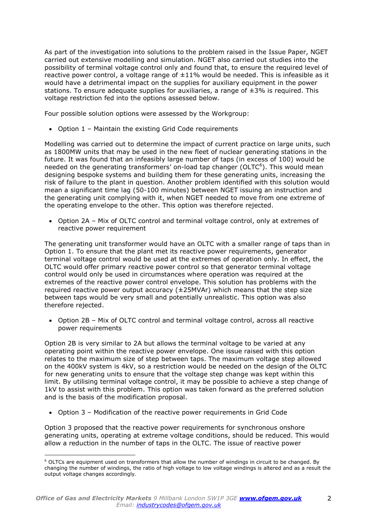As part of the investigation into solutions to the problem raised in the Issue Paper, NGET carried out extensive modelling and simulation. NGET also carried out studies into the possibility of terminal voltage control only and found that, to ensure the required level of reactive power control, a voltage range of  $\pm 11\%$  would be needed. This is infeasible as it would have a detrimental impact on the supplies for auxiliary equipment in the power stations. To ensure adequate supplies for auxiliaries, a range of  $\pm 3\%$  is required. This voltage restriction fed into the options assessed below.

Four possible solution options were assessed by the Workgroup:

Option 1 – Maintain the existing Grid Code requirements

Modelling was carried out to determine the impact of current practice on large units, such as 1800MW units that may be used in the new fleet of nuclear generating stations in the future. It was found that an infeasibly large number of taps (in excess of 100) would be needed on the generating transformers' on-load tap changer (OLTC<sup>6</sup>). This would mean designing bespoke systems and building them for these generating units, increasing the risk of failure to the plant in question. Another problem identified with this solution would mean a significant time lag (50-100 minutes) between NGET issuing an instruction and the generating unit complying with it, when NGET needed to move from one extreme of the operating envelope to the other. This option was therefore rejected.

 Option 2A – Mix of OLTC control and terminal voltage control, only at extremes of reactive power requirement

The generating unit transformer would have an OLTC with a smaller range of taps than in Option 1. To ensure that the plant met its reactive power requirements, generator terminal voltage control would be used at the extremes of operation only. In effect, the OLTC would offer primary reactive power control so that generator terminal voltage control would only be used in circumstances where operation was required at the extremes of the reactive power control envelope. This solution has problems with the required reactive power output accuracy  $(±25MVAr)$  which means that the step size between taps would be very small and potentially unrealistic. This option was also therefore rejected.

 Option 2B – Mix of OLTC control and terminal voltage control, across all reactive power requirements

Option 2B is very similar to 2A but allows the terminal voltage to be varied at any operating point within the reactive power envelope. One issue raised with this option relates to the maximum size of step between taps. The maximum voltage step allowed on the 400kV system is 4kV, so a restriction would be needed on the design of the OLTC for new generating units to ensure that the voltage step change was kept within this limit. By utilising terminal voltage control, it may be possible to achieve a step change of 1kV to assist with this problem. This option was taken forward as the preferred solution and is the basis of the modification proposal.

Option 3 – Modification of the reactive power requirements in Grid Code

Option 3 proposed that the reactive power requirements for synchronous onshore generating units, operating at extreme voltage conditions, should be reduced. This would allow a reduction in the number of taps in the OLTC. The issue of reactive power

 $6$  OLTCs are equipment used on transformers that allow the number of windings in circuit to be changed. By changing the number of windings, the ratio of high voltage to low voltage windings is altered and as a result the output voltage changes accordingly.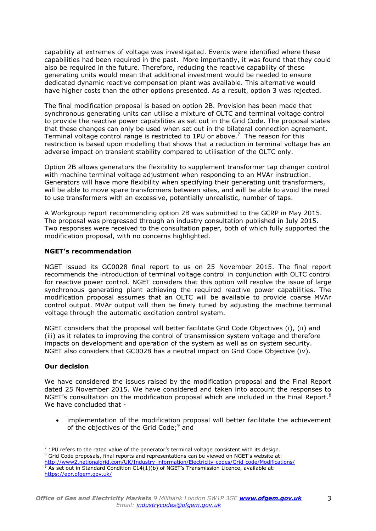capability at extremes of voltage was investigated. Events were identified where these capabilities had been required in the past. More importantly, it was found that they could also be required in the future. Therefore, reducing the reactive capability of these generating units would mean that additional investment would be needed to ensure dedicated dynamic reactive compensation plant was available. This alternative would have higher costs than the other options presented. As a result, option 3 was rejected.

The final modification proposal is based on option 2B. Provision has been made that synchronous generating units can utilise a mixture of OLTC and terminal voltage control to provide the reactive power capabilities as set out in the Grid Code. The proposal states that these changes can only be used when set out in the bilateral connection agreement. Terminal voltage control range is restricted to 1PU or above.<sup>7</sup> The reason for this restriction is based upon modelling that shows that a reduction in terminal voltage has an adverse impact on transient stability compared to utilisation of the OLTC only.

Option 2B allows generators the flexibility to supplement transformer tap changer control with machine terminal voltage adjustment when responding to an MVAr instruction. Generators will have more flexibility when specifying their generating unit transformers, will be able to move spare transformers between sites, and will be able to avoid the need to use transformers with an excessive, potentially unrealistic, number of taps.

A Workgroup report recommending option 2B was submitted to the GCRP in May 2015. The proposal was progressed through an industry consultation published in July 2015. Two responses were received to the consultation paper, both of which fully supported the modification proposal, with no concerns highlighted.

# **NGET's recommendation**

NGET issued its GC0028 final report to us on 25 November 2015. The final report recommends the introduction of terminal voltage control in conjunction with OLTC control for reactive power control. NGET considers that this option will resolve the issue of large synchronous generating plant achieving the required reactive power capabilities. The modification proposal assumes that an OLTC will be available to provide coarse MVAr control output. MVAr output will then be finely tuned by adjusting the machine terminal voltage through the automatic excitation control system.

NGET considers that the proposal will better facilitate Grid Code Objectives (i), (ii) and (iii) as it relates to improving the control of transmission system voltage and therefore impacts on development and operation of the system as well as on system security. NGET also considers that GC0028 has a neutral impact on Grid Code Objective (iv).

# **Our decision**

We have considered the issues raised by the modification proposal and the Final Report dated 25 November 2015. We have considered and taken into account the responses to NGET's consultation on the modification proposal which are included in the Final Report.<sup>8</sup> We have concluded that -

 implementation of the modification proposal will better facilitate the achievement of the objectives of the Grid Code;<sup>9</sup> and

 $7$  1PU refers to the rated value of the generator's terminal voltage consistent with its design. <sup>8</sup> Grid Code proposals, final reports and representations can be viewed on NGET's website at: <http://www2.nationalgrid.com/UK/Industry-information/Electricity-codes/Grid-code/Modifications/>

 $9\overline{9}$  As set out in Standard Condition C14(1)(b) of NGET's Transmission Licence, available at: <https://epr.ofgem.gov.uk/>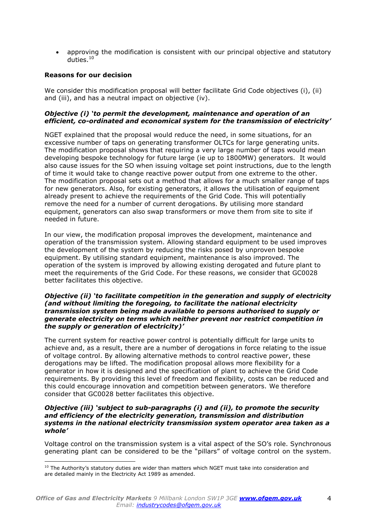approving the modification is consistent with our principal objective and statutory duties. 10

## **Reasons for our decision**

 $\overline{a}$ 

We consider this modification proposal will better facilitate Grid Code objectives (i), (ii) and (iii), and has a neutral impact on objective (iv).

## *Objective (i) 'to permit the development, maintenance and operation of an efficient, co-ordinated and economical system for the transmission of electricity'*

NGET explained that the proposal would reduce the need, in some situations, for an excessive number of taps on generating transformer OLTCs for large generating units. The modification proposal shows that requiring a very large number of taps would mean developing bespoke technology for future large (ie up to 1800MW) generators. It would also cause issues for the SO when issuing voltage set point instructions, due to the length of time it would take to change reactive power output from one extreme to the other. The modification proposal sets out a method that allows for a much smaller range of taps for new generators. Also, for existing generators, it allows the utilisation of equipment already present to achieve the requirements of the Grid Code. This will potentially remove the need for a number of current derogations. By utilising more standard equipment, generators can also swap transformers or move them from site to site if needed in future.

In our view, the modification proposal improves the development, maintenance and operation of the transmission system. Allowing standard equipment to be used improves the development of the system by reducing the risks posed by unproven bespoke equipment. By utilising standard equipment, maintenance is also improved. The operation of the system is improved by allowing existing derogated and future plant to meet the requirements of the Grid Code. For these reasons, we consider that GC0028 better facilitates this objective.

#### *Objective (ii) 'to facilitate competition in the generation and supply of electricity (and without limiting the foregoing, to facilitate the national electricity transmission system being made available to persons authorised to supply or generate electricity on terms which neither prevent nor restrict competition in the supply or generation of electricity)'*

The current system for reactive power control is potentially difficult for large units to achieve and, as a result, there are a number of derogations in force relating to the issue of voltage control. By allowing alternative methods to control reactive power, these derogations may be lifted. The modification proposal allows more flexibility for a generator in how it is designed and the specification of plant to achieve the Grid Code requirements. By providing this level of freedom and flexibility, costs can be reduced and this could encourage innovation and competition between generators. We therefore consider that GC0028 better facilitates this objective.

#### *Objective (iii) 'subject to sub-paragraphs (i) and (ii), to promote the security and efficiency of the electricity generation, transmission and distribution systems in the national electricity transmission system operator area taken as a whole'*

Voltage control on the transmission system is a vital aspect of the SO's role. Synchronous generating plant can be considered to be the "pillars" of voltage control on the system.

<sup>&</sup>lt;sup>10</sup> The Authority's statutory duties are wider than matters which NGET must take into consideration and are detailed mainly in the Electricity Act 1989 as amended.